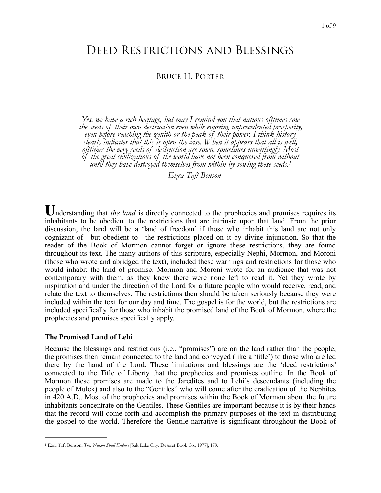# Deed Restrictions and Blessings

## Bruce H. Porter

*Yes, we have a rich heritage, but may I remind you that nations ofttimes sow the seeds of their own destruction even while enjoying unprecedented prosperity, even before reaching the zenith or the peak of their power. I think history clearly indicates that this is often the case. When it appears that all is well, ofttimes the very seeds of destruction are sown, sometimes unwittingly. Most of the great civilizations of the world have not been conquered from wit[ho](#page-0-0)ut until they have destroyed themselves from within by sowing these seeds[.1](#page-0-0)*

<span id="page-0-1"></span>*—Ezra Taft Benson* 

Understanding that *the land* is directly connected to the prophecies and promises requires its inhabitants to be obedient to the restrictions that are intrinsic upon that land. From the prior discussion, the land will be a 'land of freedom' if those who inhabit this land are not only cognizant of—but obedient to—the restrictions placed on it by divine injunction. So that the reader of the Book of Mormon cannot forget or ignore these restrictions, they are found throughout its text. The many authors of this scripture, especially Nephi, Mormon, and Moroni (those who wrote and abridged the text), included these warnings and restrictions for those who would inhabit the land of promise. Mormon and Moroni wrote for an audience that was not contemporary with them, as they knew there were none left to read it. Yet they wrote by inspiration and under the direction of the Lord for a future people who would receive, read, and relate the text to themselves. The restrictions then should be taken seriously because they were included within the text for our day and time. The gospel is for the world, but the restrictions are included specifically for those who inhabit the promised land of the Book of Mormon, where the prophecies and promises specifically apply.

#### **The Promised Land of Lehi**

Because the blessings and restrictions (i.e., "promises") are on the land rather than the people, the promises then remain connected to the land and conveyed (like a 'title') to those who are led there by the hand of the Lord. These limitations and blessings are the 'deed restrictions' connected to the Title of Liberty that the prophecies and promises outline. In the Book of Mormon these promises are made to the Jaredites and to Lehi's descendants (including the people of Mulek) and also to the "Gentiles" who will come after the eradication of the Nephites in 420 A.D.. Most of the prophecies and promises within the Book of Mormon about the future inhabitants concentrate on the Gentiles. These Gentiles are important because it is by their hands that the record will come forth and accomplish the primary purposes of the text in distributing the gospel to the world. Therefore the Gentile narrative is significant throughout the Book of

<span id="page-0-0"></span><sup>&</sup>lt;sup>[1](#page-0-1)</sup> Ezra Taft Benson, *This Nation Shall Endure* [Salt Lake City: Deseret Book Co., 1977], 179.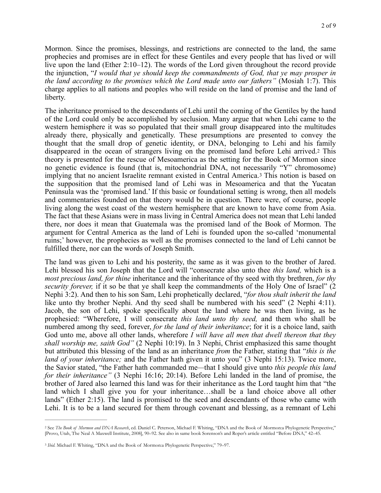Mormon. Since the promises, blessings, and restrictions are connected to the land, the same prophecies and promises are in effect for these Gentiles and every people that has lived or will live upon the land (Ether 2:10–12). The words of the Lord given throughout the record provide the injunction, "*I would that ye should keep the commandments of God, that ye may prosper in the land according to the promises which the Lord made unto our fathers"* (Mosiah 1:7). This charge applies to all nations and peoples who will reside on the land of promise and the land of liberty.

<span id="page-1-3"></span><span id="page-1-2"></span>The inheritance promised to the descendants of Lehi until the coming of the Gentiles by the hand of the Lord could only be accomplished by seclusion. Many argue that when Lehi came to the western hemisphere it was so populated that their small group disappeared into the multitudes already there, physically and genetically. These presumptions are presented to convey the thought that the small drop of genetic identity, or DNA, belonging to Lehi and his family disappeared in the ocean of strangers living on the promised land before Lehi arrived.[2](#page-1-0) This theory is presented for the rescue of Mesoamerica as the setting for the Book of Mormon since no genetic evidence is found (that is, mitochondrial DNA, not necessarily "Y" chromosome) implying that no ancient Israelite remnant existed in Central America.[3](#page-1-1) This notion is based on the supposition that the promised land of Lehi was in Mesoamerica and that the Yucatan Peninsula was the 'promised land.' If this basic or foundational setting is wrong, then all models and commentaries founded on that theory would be in question. There were, of course, people living along the west coast of the western hemisphere that are known to have come from Asia. The fact that these Asians were in mass living in Central America does not mean that Lehi landed there, nor does it mean that Guatemala was the promised land of the Book of Mormon. The argument for Central America as the land of Lehi is founded upon the so-called 'monumental ruins;' however, the prophecies as well as the promises connected to the land of Lehi cannot be fulfilled there, nor can the words of Joseph Smith.

The land was given to Lehi and his posterity, the same as it was given to the brother of Jared. Lehi blessed his son Joseph that the Lord will "consecrate also unto thee *this land,* which is a *most precious land, for thine* inheritance and the inheritance of thy seed with thy brethren, *for thy security forever,* if it so be that ye shall keep the commandments of the Holy One of Israel" (2 Nephi 3:2). And then to his son Sam, Lehi prophetically declared, "*for thou shalt inherit the land* like unto thy brother Nephi. And thy seed shall be numbered with his seed" (2 Nephi 4:11). Jacob, the son of Lehi, spoke specifically about the land where he was then living, as he prophesied: "Wherefore, I will consecrate *this land unto thy seed,* and them who shall be numbered among thy seed, forever, *for the land of their inheritance*; for it is a choice land, saith God unto me, above all other lands, wherefore *I will have all men that dwell thereon that they shall worship me, saith God"* (2 Nephi 10:19). In 3 Nephi, Christ emphasized this same thought but attributed this blessing of the land as an inheritance *from* the Father, stating that "*this is the land of your inheritance;* and the Father hath given it unto you" (3 Nephi 15:13). Twice more, the Savior stated, "the Father hath commanded me*—*that I should give unto *this people this land for their inheritance"* (3 Nephi 16:16; 20:14). Before Lehi landed in the land of promise, the brother of Jared also learned this land was for their inheritance as the Lord taught him that "the land which I shall give you for your inheritance…shall be a land choice above all other lands" (Ether 2:15). The land is promised to the seed and descendants of those who came with Lehi. It is to be a land secured for them through covenant and blessing, as a remnant of Lehi

<span id="page-1-0"></span><sup>&</sup>lt;sup>[2](#page-1-2)</sup> See The Book of Mormon and DNA Research, ed. Daniel C. Peterson, Michael F. Whiting, "DNA and the Book of Mormon:a Phylogenetic Perspective," [Provo, Utah, The Neal A Maxwell Institute, 2008], 90–92. See also in same book Sorenson's and Roper's article entitled "Before DNA," 42–45.

<span id="page-1-1"></span><sup>&</sup>lt;sup>[3](#page-1-3)</sup> Ibid. Michael F. Whiting, "DNA and the Book of Mormon:a Phylogenetic Perspective," 79–97.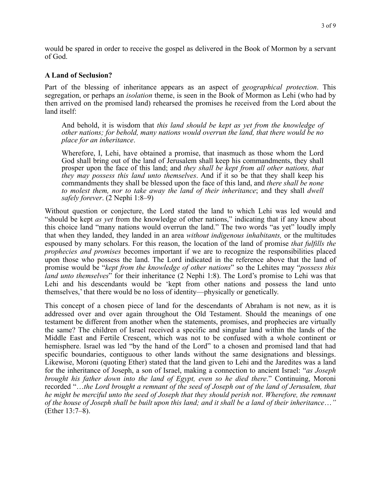would be spared in order to receive the gospel as delivered in the Book of Mormon by a servant of God.

#### **A Land of Seclusion?**

Part of the blessing of inheritance appears as an aspect of *geographical protection*. This segregation, or perhaps an *isolation* theme, is seen in the Book of Mormon as Lehi (who had by then arrived on the promised land) rehearsed the promises he received from the Lord about the land itself:

And behold, it is wisdom that *this land should be kept as yet from the knowledge of other nations; for behold, many nations would overrun the land, that there would be no place for an inheritance*.

Wherefore, I, Lehi, have obtained a promise, that inasmuch as those whom the Lord God shall bring out of the land of Jerusalem shall keep his commandments, they shall prosper upon the face of this land; and *they shall be kept from all other nations, that they may possess this land unto themselves*. And if it so be that they shall keep his commandments they shall be blessed upon the face of this land, and *there shall be none to molest them, nor to take away the land of their inheritance*; and they shall *dwell safely forever*. (2 Nephi 1:8–9)

Without question or conjecture, the Lord stated the land to which Lehi was led would and "should be kept *as yet* from the knowledge of other nations," indicating that if any knew about this choice land "many nations would overrun the land." The two words "as yet" loudly imply that when they landed, they landed in an area *without indigenous inhabitants,* or the multitudes espoused by many scholars. For this reason, the location of the land of promise *that fulfills the prophecies and promises* becomes important if we are to recognize the responsibilities placed upon those who possess the land. The Lord indicated in the reference above that the land of promise would be "*kept from the knowledge of other nations*" so the Lehites may "*possess this land unto themselves*" for their inheritance (2 Nephi 1:8). The Lord's promise to Lehi was that Lehi and his descendants would be 'kept from other nations and possess the land unto themselves,' that there would be no loss of identity—physically or genetically.

This concept of a chosen piece of land for the descendants of Abraham is not new, as it is addressed over and over again throughout the Old Testament. Should the meanings of one testament be different from another when the statements, promises, and prophecies are virtually the same? The children of Israel received a specific and singular land within the lands of the Middle East and Fertile Crescent, which was not to be confused with a whole continent or hemisphere. Israel was led "by the hand of the Lord" to a chosen and promised land that had specific boundaries, contiguous to other lands without the same designations and blessings. Likewise, Moroni (quoting Ether) stated that the land given to Lehi and the Jaredites was a land for the inheritance of Joseph, a son of Israel, making a connection to ancient Israel: "*as Joseph brought his father down into the land of Egypt, even so he died there*." Continuing, Moroni recorded "…*the Lord brought a remnant of the seed of Joseph out of the land of Jerusalem, that he might be merciful unto the seed of Joseph that they should perish not*. *Wherefore, the remnant of the house of Joseph shall be built upon this land; and it shall be a land of their inheritance*…*"* (Ether 13:7–8).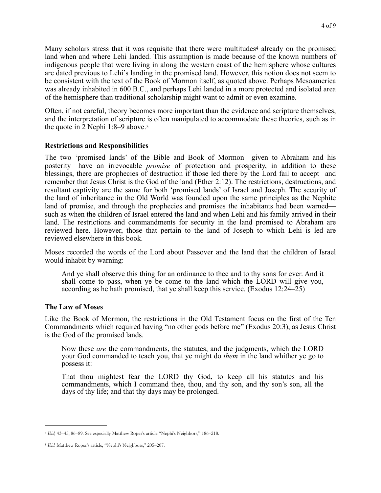<span id="page-3-2"></span>Many scholars stress that it was requisite that there were multitudes<sup>4</sup> already on the promised land when and where Lehi landed. This assumption is made because of the known numbers of indigenous people that were living in along the western coast of the hemisphere whose cultures are dated previous to Lehi's landing in the promised land. However, this notion does not seem to be consistent with the text of the Book of Mormon itself, as quoted above. Perhaps Mesoamerica was already inhabited in 600 B.C., and perhaps Lehi landed in a more protected and isolated area of the hemisphere than traditional scholarship might want to admit or even examine.

<span id="page-3-3"></span>Often, if not careful, theory becomes more important than the evidence and scripture themselves, and the interpretation of scripture is often manipulated to accommodate these theories, such as in the quote in 2 Nephi 1:8–9 above.<sup>5</sup>

## **Restrictions and Responsibilities**

The two 'promised lands' of the Bible and Book of Mormon—given to Abraham and his posterity—have an irrevocable *promise* of protection and prosperity, in addition to these blessings, there are prophecies of destruction if those led there by the Lord fail to accept and remember that Jesus Christ is the God of the land (Ether 2:12). The restrictions, destructions, and resultant captivity are the same for both 'promised lands' of Israel and Joseph. The security of the land of inheritance in the Old World was founded upon the same principles as the Nephite land of promise, and through the prophecies and promises the inhabitants had been warned such as when the children of Israel entered the land and when Lehi and his family arrived in their land. The restrictions and commandments for security in the land promised to Abraham are reviewed here. However, those that pertain to the land of Joseph to which Lehi is led are reviewed elsewhere in this book.

Moses recorded the words of the Lord about Passover and the land that the children of Israel would inhabit by warning:

And ye shall observe this thing for an ordinance to thee and to thy sons for ever. And it shall come to pass, when ye be come to the land which the LORD will give you, according as he hath promised, that ye shall keep this service. (Exodus 12:24–25)

#### **The Law of Moses**

Like the Book of Mormon, the restrictions in the Old Testament focus on the first of the Ten Commandments which required having "no other gods before me" (Exodus 20:3), as Jesus Christ is the God of the promised lands.

Now these *are* the commandments, the statutes, and the judgments, which the LORD your God commanded to teach you, that ye might do *them* in the land whither ye go to possess it:

That thou mightest fear the LORD thy God, to keep all his statutes and his commandments, which I command thee, thou, and thy son, and thy son's son, all the days of thy life; and that thy days may be prolonged.

<span id="page-3-0"></span>*Ibid,* 43–45, 86–89. See especially Matthew Roper's article "Nephi's Neighbors," 186–218. [4](#page-3-2)

<span id="page-3-1"></span><sup>&</sup>lt;sup>[5](#page-3-3)</sup> Ibid. Matthew Roper's article, "Nephi's Neighbors," 205-207.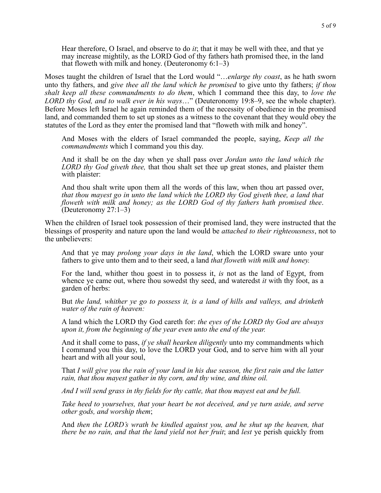Hear therefore, O Israel, and observe to do *it*; that it may be well with thee, and that ye may increase mightily, as the LORD God of thy fathers hath promised thee, in the land that floweth with milk and honey. (Deuteronomy  $6:1-3$ )

Moses taught the children of Israel that the Lord would "…*enlarge thy coast*, as he hath sworn unto thy fathers, and *give thee all the land which he promised* to give unto thy fathers; *if thou shalt keep all these commandments to do them*, which I command thee this day, to *love the LORD thy God, and to walk ever in his ways*…" (Deuteronomy 19:8–9, see the whole chapter). Before Moses left Israel he again reminded them of the necessity of obedience in the promised land, and commanded them to set up stones as a witness to the covenant that they would obey the statutes of the Lord as they enter the promised land that "floweth with milk and honey".

And Moses with the elders of Israel commanded the people, saying, *Keep all the commandments* which I command you this day.

And it shall be on the day when ye shall pass over *Jordan unto the land which the LORD thy God giveth thee,* that thou shalt set thee up great stones, and plaister them with plaister:

And thou shalt write upon them all the words of this law, when thou art passed over, *that thou mayest go in unto the land which the LORD thy God giveth thee, a land that floweth with milk and honey; as the LORD God of thy fathers hath promised thee*. (Deuteronomy 27:1–3)

When the children of Israel took possession of their promised land, they were instructed that the blessings of prosperity and nature upon the land would be *attached to their righteousness*, not to the unbelievers:

And that ye may *prolong your days in the land*, which the LORD sware unto your fathers to give unto them and to their seed, a land *that floweth with milk and honey.* 

For the land, whither thou goest in to possess it, *is* not as the land of Egypt, from whence ye came out, where thou sowedst thy seed, and wateredst *it* with thy foot, as a garden of herbs:

But *the land, whither ye go to possess it, is a land of hills and valleys, and drinketh water of the rain of heaven:* 

A land which the LORD thy God careth for: *the eyes of the LORD thy God are always upon it, from the beginning of the year even unto the end of the year.* 

And it shall come to pass, *if ye shall hearken diligently* unto my commandments which I command you this day, to love the LORD your God, and to serve him with all your heart and with all your soul,

That *I will give you the rain of your land in his due season, the first rain and the latter rain, that thou mayest gather in thy corn, and thy wine, and thine oil.* 

*And I will send grass in thy fields for thy cattle, that thou mayest eat and be full.* 

*Take heed to yourselves, that your heart be not deceived, and ye turn aside, and serve other gods, and worship them*;

And *then the LORD's wrath be kindled against you, and he shut up the heaven, that there be no rain, and that the land yield not her fruit*; and *lest* ye perish quickly from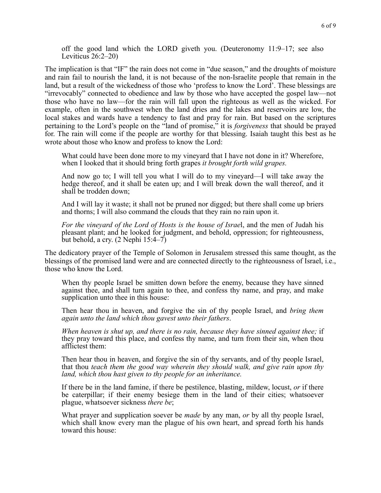off the good land which the LORD giveth you. (Deuteronomy 11:9–17; see also Leviticus 26:2–20)

The implication is that "IF" the rain does not come in "due season," and the droughts of moisture and rain fail to nourish the land, it is not because of the non-Israelite people that remain in the land, but a result of the wickedness of those who 'profess to know the Lord'. These blessings are "irrevocably" connected to obedience and law by those who have accepted the gospel law—not those who have no law—for the rain will fall upon the righteous as well as the wicked. For example, often in the southwest when the land dries and the lakes and reservoirs are low, the local stakes and wards have a tendency to fast and pray for rain. But based on the scriptures pertaining to the Lord's people on the "land of promise," it is *forgiveness* that should be prayed for. The rain will come if the people are worthy for that blessing. Isaiah taught this best as he wrote about those who know and profess to know the Lord:

What could have been done more to my vineyard that I have not done in it? Wherefore, when I looked that it should bring forth grapes *it brought forth wild grapes.* 

And now go to; I will tell you what I will do to my vineyard—I will take away the hedge thereof, and it shall be eaten up; and I will break down the wall thereof, and it shall be trodden down;

And I will lay it waste; it shall not be pruned nor digged; but there shall come up briers and thorns; I will also command the clouds that they rain no rain upon it.

*For the vineyard of the Lord of Hosts is the house of Israe*l, and the men of Judah his pleasant plant; and he looked for judgment, and behold, oppression; for righteousness, but behold, a cry. (2 Nephi 15:4–7)

The dedicatory prayer of the Temple of Solomon in Jerusalem stressed this same thought, as the blessings of the promised land were and are connected directly to the righteousness of Israel, i.e., those who know the Lord.

When thy people Israel be smitten down before the enemy, because they have sinned against thee, and shall turn again to thee, and confess thy name, and pray, and make supplication unto thee in this house:

Then hear thou in heaven, and forgive the sin of thy people Israel, and *bring them again unto the land which thou gavest unto their fathers*.

*When heaven is shut up, and there is no rain, because they have sinned against thee;* if they pray toward this place, and confess thy name, and turn from their sin, when thou afflictest them:

Then hear thou in heaven, and forgive the sin of thy servants, and of thy people Israel, that thou *teach them the good way wherein they should walk, and give rain upon thy land, which thou hast given to thy people for an inheritance.* 

If there be in the land famine, if there be pestilence, blasting, mildew, locust, *or* if there be caterpillar; if their enemy besiege them in the land of their cities; whatsoever plague, whatsoever sickness *there be*;

What prayer and supplication soever be *made* by any man, *or* by all thy people Israel, which shall know every man the plague of his own heart, and spread forth his hands toward this house: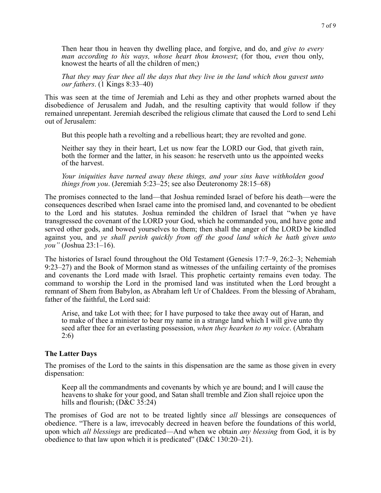Then hear thou in heaven thy dwelling place, and forgive, and do, and *give to every man according to his ways, whose heart thou knowest*; (for thou, *even* thou only, knowest the hearts of all the children of men;)

*That they may fear thee all the days that they live in the land which thou gavest unto our fathers*. (1 Kings 8:33–40)

This was seen at the time of Jeremiah and Lehi as they and other prophets warned about the disobedience of Jerusalem and Judah, and the resulting captivity that would follow if they remained unrepentant. Jeremiah described the religious climate that caused the Lord to send Lehi out of Jerusalem:

But this people hath a revolting and a rebellious heart; they are revolted and gone.

Neither say they in their heart, Let us now fear the LORD our God, that giveth rain, both the former and the latter, in his season: he reserveth unto us the appointed weeks of the harvest.

*Your iniquities have turned away these things, and your sins have withholden good things from you*. (Jeremiah 5:23–25; see also Deuteronomy 28:15–68)

The promises connected to the land—that Joshua reminded Israel of before his death—were the consequences described when Israel came into the promised land, and covenanted to be obedient to the Lord and his statutes. Joshua reminded the children of Israel that "when ye have transgressed the covenant of the LORD your God, which he commanded you, and have gone and served other gods, and bowed yourselves to them; then shall the anger of the LORD be kindled against you, and *ye shall perish quickly from off the good land which he hath given unto you"* (Joshua 23:1–16).

The histories of Israel found throughout the Old Testament (Genesis 17:7–9, 26:2–3; Nehemiah 9:23–27) and the Book of Mormon stand as witnesses of the unfailing certainty of the promises and covenants the Lord made with Israel. This prophetic certainty remains even today. The command to worship the Lord in the promised land was instituted when the Lord brought a remnant of Shem from Babylon, as Abraham left Ur of Chaldees. From the blessing of Abraham, father of the faithful, the Lord said:

Arise, and take Lot with thee; for I have purposed to take thee away out of Haran, and to make of thee a minister to bear my name in a strange land which I will give unto thy seed after thee for an everlasting possession, *when they hearken to my voice*. (Abraham 2:6)

## **The Latter Days**

The promises of the Lord to the saints in this dispensation are the same as those given in every dispensation:

Keep all the commandments and covenants by which ye are bound; and I will cause the heavens to shake for your good, and Satan shall tremble and Zion shall rejoice upon the hills and flourish; (D&C 35:24)

The promises of God are not to be treated lightly since *all* blessings are consequences of obedience. "There is a law, irrevocably decreed in heaven before the foundations of this world, upon which *all blessings* are predicated—And when we obtain *any blessing* from God, it is by obedience to that law upon which it is predicated" (D&C 130:20–21).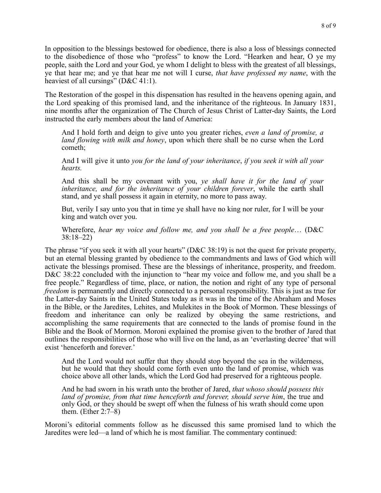In opposition to the blessings bestowed for obedience, there is also a loss of blessings connected to the disobedience of those who "profess" to know the Lord. "Hearken and hear, O ye my people, saith the Lord and your God, ye whom I delight to bless with the greatest of all blessings, ye that hear me; and ye that hear me not will I curse, *that have professed my name*, with the heaviest of all cursings" (D&C 41:1).

The Restoration of the gospel in this dispensation has resulted in the heavens opening again, and the Lord speaking of this promised land, and the inheritance of the righteous. In January 1831, nine months after the organization of The Church of Jesus Christ of Latter-day Saints, the Lord instructed the early members about the land of America:

And I hold forth and deign to give unto you greater riches, *even a land of promise, a land flowing with milk and honey*, upon which there shall be no curse when the Lord cometh;

And I will give it unto *you for the land of your inheritance*, *if you seek it with all your hearts.* 

And this shall be my covenant with you, *ye shall have it for the land of your inheritance, and for the inheritance of your children forever*, while the earth shall stand, and ye shall possess it again in eternity, no more to pass away.

But, verily I say unto you that in time ye shall have no king nor ruler, for I will be your king and watch over you.

Wherefore, *hear my voice and follow me, and you shall be a free people*… (D&C 38:18–22)

The phrase "if you seek it with all your hearts" (D&C 38:19) is not the quest for private property, but an eternal blessing granted by obedience to the commandments and laws of God which will activate the blessings promised. These are the blessings of inheritance, prosperity, and freedom. D&C 38:22 concluded with the injunction to "hear my voice and follow me, and you shall be a free people." Regardless of time, place, or nation, the notion and right of any type of personal *freedom* is permanently and directly connected to a personal responsibility. This is just as true for the Latter-day Saints in the United States today as it was in the time of the Abraham and Moses in the Bible, or the Jaredites, Lehites, and Mulekites in the Book of Mormon. These blessings of freedom and inheritance can only be realized by obeying the same restrictions, and accomplishing the same requirements that are connected to the lands of promise found in the Bible and the Book of Mormon. Moroni explained the promise given to the brother of Jared that outlines the responsibilities of those who will live on the land, as an 'everlasting decree' that will exist 'henceforth and forever.'

And the Lord would not suffer that they should stop beyond the sea in the wilderness, but he would that they should come forth even unto the land of promise, which was choice above all other lands, which the Lord God had preserved for a righteous people.

And he had sworn in his wrath unto the brother of Jared, *that whoso should possess this land of promise, from that time henceforth and forever, should serve him*, the true and only God, or they should be swept off when the fulness of his wrath should come upon them. (Ether 2:7–8)

Moroni's editorial comments follow as he discussed this same promised land to which the Jaredites were led—a land of which he is most familiar. The commentary continued: